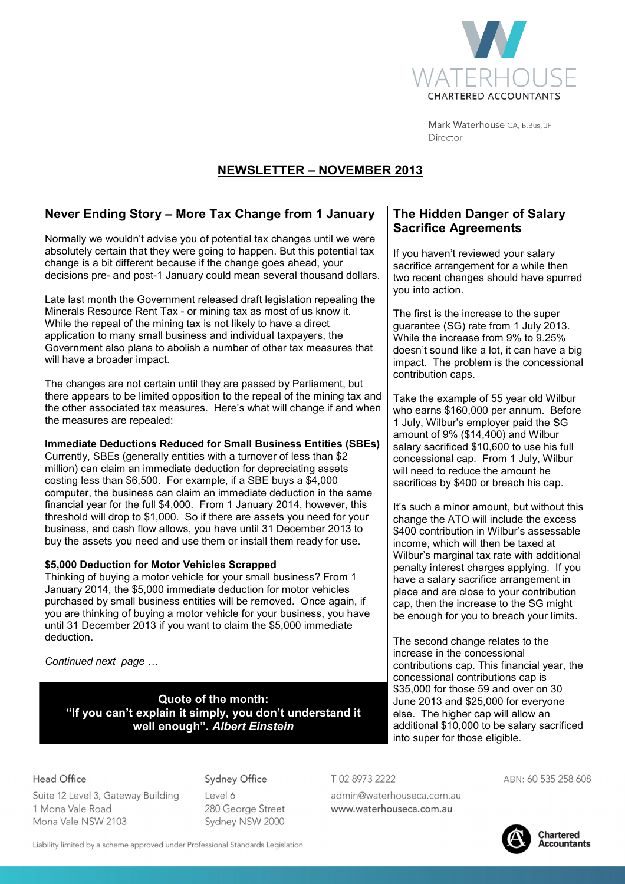

Mark Waterhouse CA, B.Bus, JP Director

# **NEWSLETTER – NOVEMBER 2013**

## **Never Ending Story – More Tax Change from 1 January**

Normally we wouldn't advise you of potential tax changes until we were absolutely certain that they were going to happen. But this potential tax change is a bit different because if the change goes ahead, your decisions pre- and post-1 January could mean several thousand dollars.

Late last month the Government released draft legislation repealing the Minerals Resource Rent Tax - or mining tax as most of us know it. While the repeal of the mining tax is not likely to have a direct application to many small business and individual taxpayers, the Government also plans to abolish a number of other tax measures that will have a broader impact.

The changes are not certain until they are passed by Parliament, but there appears to be limited opposition to the repeal of the mining tax and the other associated tax measures. Here's what will change if and when the measures are repealed:

## **Immediate Deductions Reduced for Small Business Entities (SBEs)**

Currently, SBEs (generally entities with a turnover of less than \$2 million) can claim an immediate deduction for depreciating assets costing less than \$6,500. For example, if a SBE buys a \$4,000 computer, the business can claim an immediate deduction in the same financial year for the full \$4,000. From 1 January 2014, however, this threshold will drop to \$1,000. So if there are assets you need for your business, and cash flow allows, you have until 31 December 2013 to buy the assets you need and use them or install them ready for use.

## **\$5,000 Deduction for Motor Vehicles Scrapped**

Thinking of buying a motor vehicle for your small business? From 1 January 2014, the \$5,000 immediate deduction for motor vehicles purchased by small business entities will be removed. Once again, if you are thinking of buying a motor vehicle for your business, you have until 31 December 2013 if you want to claim the \$5,000 immediate deduction.

*Continued next page* 

**Quote of the month: "If you can't explain it simply, you don't understand it well enough".** *Albert Einstein*

## **The Hidden Danger of Salary Sacrifice Agreements**

If you haven't reviewed your salary sacrifice arrangement for a while then two recent changes should have spurred you into action.

The first is the increase to the super guarantee (SG) rate from 1 July 2013. While the increase from 9% to 9.25% doesn't sound like a lot, it can have a big impact. The problem is the concessional contribution caps.

Take the example of 55 year old Wilbur who earns \$160,000 per annum. Before 1 July, Wilbur's employer paid the SG amount of 9% (\$14,400) and Wilbur salary sacrificed \$10,600 to use his full concessional cap. From 1 July, Wilbur will need to reduce the amount he sacrifices by \$400 or breach his cap.

It's such a minor amount, but without this change the ATO will include the excess \$400 contribution in Wilbur's assessable income, which will then be taxed at Wilbur's marginal tax rate with additional penalty interest charges applying. If you have a salary sacrifice arrangement in place and are close to your contribution cap, then the increase to the SG might be enough for you to breach your limits.

The second change relates to the increase in the concessional contributions cap. This financial year, the concessional contributions cap is \$35,000 for those 59 and over on 30 June 2013 and \$25,000 for everyone else. The higher cap will allow an additional \$10,000 to be salary sacrificed into super for those eligible.

## **Head Office**

Suite 12 Level 3, Gateway Building 1 Mona Vale Road Mona Vale NSW 2103

## **Sydney Office**

Level 6 280 George Street Sydney NSW 2000

T0289732222

admin@waterhouseca.com.au www.waterhouseca.com.au

ABN: 60 535 258 608

**Chartered** onarterea<br>Accountants

Liability limited by a scheme approved under Professional Standards Legislation